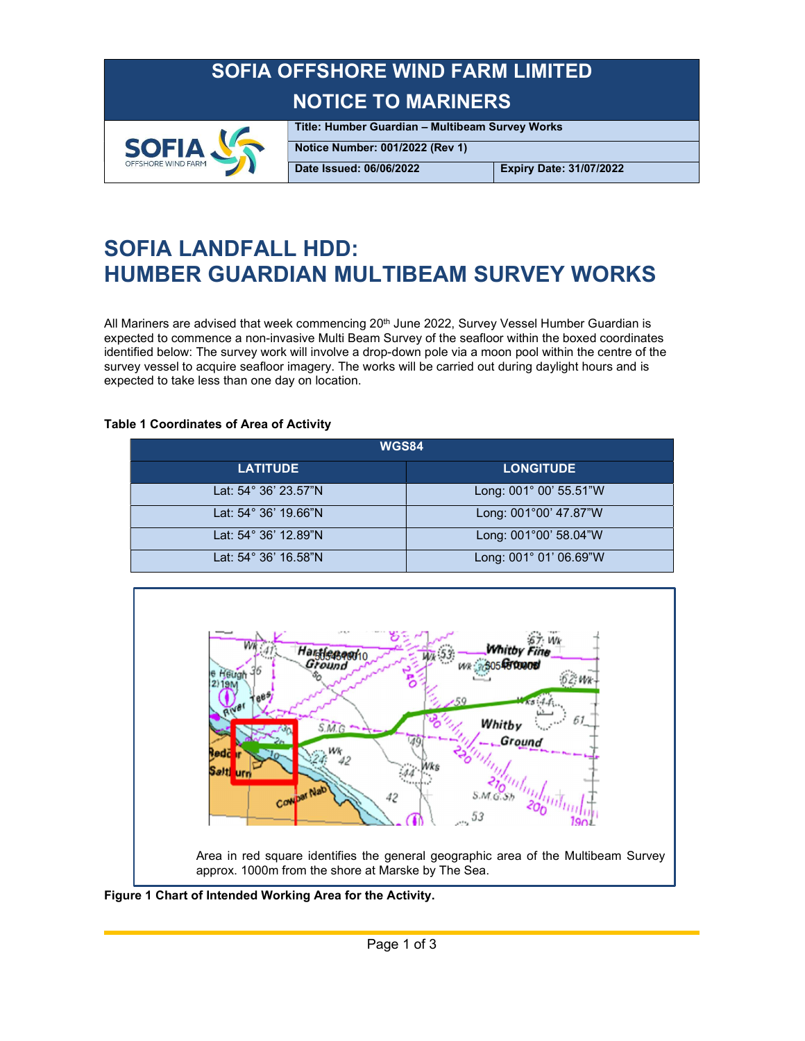### SOFIA OFFSHORE WIND FARM LIMITED NOTICE TO MARINERS



Title: Humber Guardian – Multibeam Survey Works Notice Number: 001/2022 (Rev 1)

Date Issued: 06/06/2022 Expiry Date: 31/07/2022

## SOFIA LANDFALL HDD: HUMBER GUARDIAN MULTIBEAM SURVEY WORKS

All Mariners are advised that week commencing 20<sup>th</sup> June 2022, Survey Vessel Humber Guardian is expected to commence a non-invasive Multi Beam Survey of the seafloor within the boxed coordinates identified below: The survey work will involve a drop-down pole via a moon pool within the centre of the survey vessel to acquire seafloor imagery. The works will be carried out during daylight hours and is expected to take less than one day on location.

#### Table 1 Coordinates of Area of Activity

| <b>WGS84</b>         |                        |
|----------------------|------------------------|
| <b>LATITUDE</b>      | <b>LONGITUDE</b>       |
| Lat: 54° 36' 23.57"N | Long: 001° 00' 55.51"W |
| Lat: 54° 36' 19.66"N | Long: 001°00' 47.87"W  |
| Lat: 54° 36' 12.89"N | Long: 001°00' 58.04"W  |
| Lat: 54° 36' 16.58"N | Long: 001° 01' 06.69"W |



Figure 1 Chart of Intended Working Area for the Activity.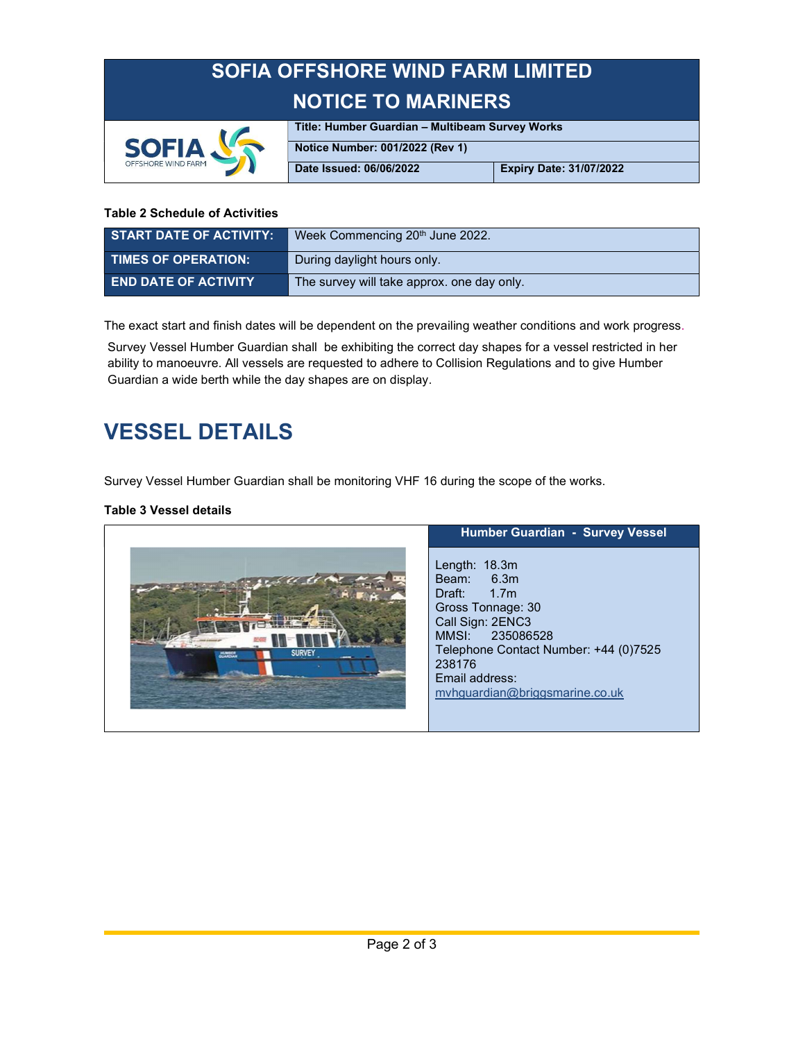# SOFIA OFFSHORE WIND FARM LIMITED NOTICE TO MARINERS



Title: Humber Guardian – Multibeam Survey Works Notice Number: 001/2022 (Rev 1)

Date Issued: 06/06/2022 Expiry Date: 31/07/2022

#### Table 2 Schedule of Activities

| <b>START DATE OF ACTIVITY:</b> | Week Commencing 20 <sup>th</sup> June 2022. |
|--------------------------------|---------------------------------------------|
| <b>TIMES OF OPERATION:</b>     | During daylight hours only.                 |
| <b>END DATE OF ACTIVITY</b>    | The survey will take approx, one day only.  |

The exact start and finish dates will be dependent on the prevailing weather conditions and work progress.<br>Survey Vessel Humber Guardian shall be exhibiting the correct day shapes for a vessel restricted in her

ability to manoeuvre. All vessels are requested to adhere to Collision Regulations and to give Humber Guardian a wide berth while the day shapes are on display.

## VESSEL DETAILS

Survey Vessel Humber Guardian shall be monitoring VHF 16 during the scope of the works.

#### Table 3 Vessel details